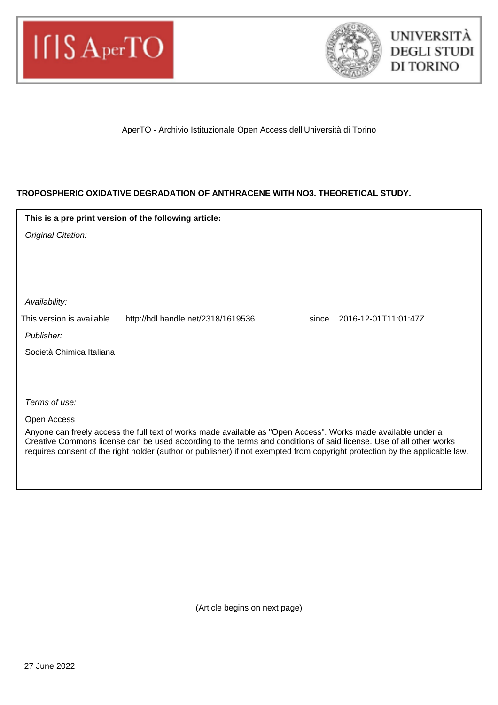



AperTO - Archivio Istituzionale Open Access dell'Università di Torino

# **TROPOSPHERIC OXIDATIVE DEGRADATION OF ANTHRACENE WITH NO3. THEORETICAL STUDY.**

| This is a pre print version of the following article:                                                                                                                                                                               |                                    |                               |  |
|-------------------------------------------------------------------------------------------------------------------------------------------------------------------------------------------------------------------------------------|------------------------------------|-------------------------------|--|
| Original Citation:                                                                                                                                                                                                                  |                                    |                               |  |
|                                                                                                                                                                                                                                     |                                    |                               |  |
|                                                                                                                                                                                                                                     |                                    |                               |  |
|                                                                                                                                                                                                                                     |                                    |                               |  |
| Availability:                                                                                                                                                                                                                       |                                    |                               |  |
| This version is available                                                                                                                                                                                                           | http://hdl.handle.net/2318/1619536 | 2016-12-01T11:01:47Z<br>since |  |
| Publisher:                                                                                                                                                                                                                          |                                    |                               |  |
| Società Chimica Italiana                                                                                                                                                                                                            |                                    |                               |  |
|                                                                                                                                                                                                                                     |                                    |                               |  |
|                                                                                                                                                                                                                                     |                                    |                               |  |
| Terms of use:                                                                                                                                                                                                                       |                                    |                               |  |
| Open Access                                                                                                                                                                                                                         |                                    |                               |  |
| Anyone can freely access the full text of works made available as "Open Access". Works made available under a<br>Creative Commons license can be used according to the terms and conditions of said license. Use of all other works |                                    |                               |  |
| requires consent of the right holder (author or publisher) if not exempted from copyright protection by the applicable law.                                                                                                         |                                    |                               |  |
|                                                                                                                                                                                                                                     |                                    |                               |  |

(Article begins on next page)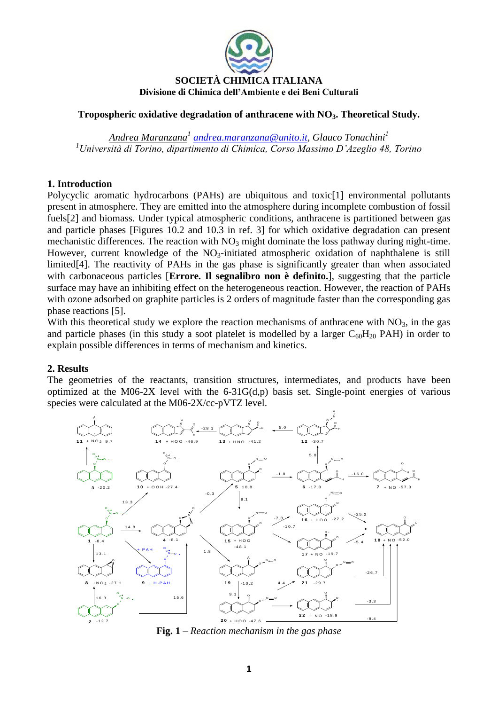

## **Tropospheric oxidative degradation of anthracene with NO3. Theoretical Study.**

*Andrea Maranzana<sup>1</sup> [andrea.maranzana@unito.it,](mailto:andrea.maranzana@unito.it) Glauco Tonachini<sup>1</sup> <sup>1</sup>Università di Torino, dipartimento di Chimica, Corso Massimo D'Azeglio 48, Torino*

### **1. Introduction**

Polycyclic aromatic hydrocarbons (PAHs) are ubiquitous and toxic[1] environmental pollutants present in atmosphere. They are emitted into the atmosphere during incomplete combustion of fossil fuels[2] and biomass. Under typical atmospheric conditions, anthracene is partitioned between gas and particle phases [Figures 10.2 and 10.3 in ref. 3] for which oxidative degradation can present mechanistic differences. The reaction with  $NO<sub>3</sub>$  might dominate the loss pathway during night-time. However, current knowledge of the  $NO_3$ -initiated atmospheric oxidation of naphthalene is still limited[4]. The reactivity of PAHs in the gas phase is significantly greater than when associated with carbonaceous particles [**Errore. Il segnalibro non è definito.**], suggesting that the particle surface may have an inhibiting effect on the heterogeneous reaction. However, the reaction of PAHs with ozone adsorbed on graphite particles is 2 orders of magnitude faster than the corresponding gas phase reactions [5].

With this theoretical study we explore the reaction mechanisms of anthracene with  $NO<sub>3</sub>$ , in the gas and particle phases (in this study a soot platelet is modelled by a larger  $C_{60}H_{20}$  PAH) in order to explain possible differences in terms of mechanism and kinetics.

#### **2. Results**

The geometries of the reactants, transition structures, intermediates, and products have been optimized at the M06-2X level with the  $6-31G(d,p)$  basis set. Single-point energies of various species were calculated at the M06-2X/cc-pVTZ level.



**Fig. 1** – *Reaction mechanism in the gas phase*